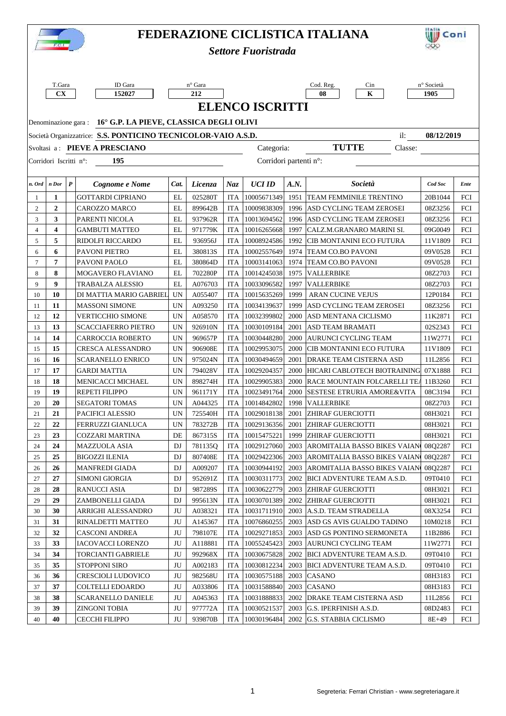| FEDERAZIONE CICLISTICA ITALIANA |                                                                                    |                                        |                          |                    |            |                            |      |                                                          |                    | iii) Coni  |  |  |  |
|---------------------------------|------------------------------------------------------------------------------------|----------------------------------------|--------------------------|--------------------|------------|----------------------------|------|----------------------------------------------------------|--------------------|------------|--|--|--|
|                                 | <b>T.GIL</b><br><b>Settore Fuoristrada</b>                                         |                                        |                          |                    |            |                            |      |                                                          |                    |            |  |  |  |
|                                 |                                                                                    |                                        |                          |                    |            |                            |      |                                                          |                    |            |  |  |  |
|                                 |                                                                                    |                                        |                          |                    |            |                            |      |                                                          |                    |            |  |  |  |
|                                 | T.Gara<br>$\mathbf{C}\mathbf{X}$                                                   | ID Gara<br>152027                      |                          | n° Gara<br>212     |            |                            |      | Cod. Reg.<br>Cin<br>08<br>$\mathbf K$                    | n° Società<br>1905 |            |  |  |  |
|                                 | <b>ELENCO ISCRITTI</b>                                                             |                                        |                          |                    |            |                            |      |                                                          |                    |            |  |  |  |
|                                 |                                                                                    |                                        |                          |                    |            |                            |      |                                                          |                    |            |  |  |  |
|                                 | Denominazione gara: 16° G.P. LA PIEVE, CLASSICA DEGLI OLIVI                        |                                        |                          |                    |            |                            |      |                                                          |                    |            |  |  |  |
|                                 | Società Organizzatrice: S.S. PONTICINO TECNICOLOR-VAIO A.S.D.<br>08/12/2019<br>il: |                                        |                          |                    |            |                            |      |                                                          |                    |            |  |  |  |
|                                 |                                                                                    | Svoltasi a: PIEVE A PRESCIANO          |                          |                    |            | Categoria:                 |      | <b>TUTTE</b><br>Classe:                                  |                    |            |  |  |  |
|                                 | 195<br>Corridori partenti n°:<br>Corridori Iscritti n°:                            |                                        |                          |                    |            |                            |      |                                                          |                    |            |  |  |  |
|                                 |                                                                                    |                                        |                          |                    |            |                            |      |                                                          |                    |            |  |  |  |
| n. Ord                          | n Dor                                                                              | $\boldsymbol{P}$<br>Cognome e Nome     | Cat.                     | Licenza            | Naz.       | <b>UCI ID</b>              | A.N. | Società                                                  | Cod Soc            | Ente       |  |  |  |
| 1                               | 1                                                                                  | <b>GOTTARDI CIPRIANO</b>               | EL                       | 025280T            | <b>ITA</b> | 10005671349                |      | 1951 TEAM FEMMINILE TRENTINO                             | 20B1044            | FCI        |  |  |  |
| $\overline{c}$                  | $\overline{2}$                                                                     | <b>CAROZZO MARCO</b>                   | EL                       | 899642B            | <b>ITA</b> | 10009838309                |      | 1996 ASD CYCLING TEAM ZEROSEI                            | 08Z3256            | <b>FCI</b> |  |  |  |
| 3                               | 3                                                                                  | PARENTI NICOLA                         | EL                       | 937962R            | <b>ITA</b> | 10013694562                |      | 1996 ASD CYCLING TEAM ZEROSEI                            | 08Z3256            | <b>FCI</b> |  |  |  |
| $\overline{4}$                  | $\overline{\mathbf{4}}$                                                            | GAMBUTI MATTEO                         | EL                       | 971779K            | ITA        | 10016265668                | 1997 | CALZ.M.GRANARO MARINI SI.                                | 09G0049            | <b>FCI</b> |  |  |  |
| 5                               | 5                                                                                  | RIDOLFI RICCARDO                       | EL                       | 936956J            | ITA        | 10008924586                | 1992 | CIB MONTANINI ECO FUTURA                                 | 11V1809            | <b>FCI</b> |  |  |  |
| 6                               | 6                                                                                  | PAVONI PIETRO                          | EL                       | 380813S            | ITA        | 10002557649                |      | 1974   TEAM CO.BO PAVONI                                 | 09V0528            | <b>FCI</b> |  |  |  |
| $\tau$                          | $\overline{7}$                                                                     | PAVONI PAOLO                           | EL                       | 380864D            | <b>ITA</b> | 10003141063                | 1974 | <b>TEAM CO.BO PAVONI</b>                                 | 09V0528            | <b>FCI</b> |  |  |  |
| 8                               | 8                                                                                  | MOGAVERO FLAVIANO                      | EL                       | 702280P            | <b>ITA</b> | 10014245038                | 1975 | <b>VALLERBIKE</b>                                        | 08Z2703            | <b>FCI</b> |  |  |  |
| 9                               | 9                                                                                  | TRABALZA ALESSIO                       | EL                       | A076703            | <b>ITA</b> | 10033096582                | 1997 | <b>VALLERBIKE</b>                                        | 08Z2703            | <b>FCI</b> |  |  |  |
| 10                              | 10                                                                                 | DI MATTIA MARIO GABRIEL                | <b>UN</b>                | A055407            | <b>ITA</b> | 10015635269                | 1999 | ARAN CUCINE VEJUS                                        | 12P0184            | <b>FCI</b> |  |  |  |
| 11                              | 11                                                                                 | <b>MASSONI SIMONE</b>                  | <b>UN</b>                | A093250            | <b>ITA</b> | 10034139637                | 1999 | ASD CYCLING TEAM ZEROSEI                                 | 08Z3256            | <b>FCI</b> |  |  |  |
| 12                              | 12                                                                                 | VERTICCHIO SIMONE                      | <b>UN</b>                | A058570            | <b>ITA</b> | 10032399802                | 2000 | ASD MENTANA CICLISMO                                     | 11K2871            | <b>FCI</b> |  |  |  |
| 13                              | 13                                                                                 | SCACCIAFERRO PIETRO                    | UN                       | 926910N            | ITA        | 10030109184                | 2001 | <b>ASD TEAM BRAMATI</b>                                  | 02S2343            | <b>FCI</b> |  |  |  |
| 14                              | 14                                                                                 | CARROCCIA ROBERTO                      | <b>UN</b>                | 969657P            | ITA        | 10030448280                | 2000 | AURUNCI CYCLING TEAM                                     | 11W2771            | <b>FCI</b> |  |  |  |
| 15                              | 15                                                                                 | CRESCA ALESSANDRO                      | <b>UN</b>                | 906908E            | <b>ITA</b> | 10029953075                | 2000 | CIB MONTANINI ECO FUTURA                                 | 11V1809            | <b>FCI</b> |  |  |  |
| 16                              | 16                                                                                 | <b>SCARANELLO ENRICO</b>               | <b>UN</b>                | 975024N            | <b>ITA</b> | 10030494659                | 2001 | <b>DRAKE TEAM CISTERNA ASD</b>                           | 11L2856            | <b>FCI</b> |  |  |  |
| 17                              | 17                                                                                 | <b>GARDI MATTIA</b>                    | <b>UN</b>                | 794028V            | <b>ITA</b> | 10029204357                | 2000 | HICARI CABLOTECH BIOTRAINING 07X1888                     |                    | <b>FCI</b> |  |  |  |
| 18                              | 18                                                                                 | <b>MENICACCI MICHAEL</b>               | <b>UN</b>                | 898274H            | <b>ITA</b> | 10029905383                |      | 2000 RACE MOUNTAIN FOLCARELLI TEA 11B3260                |                    | <b>FCI</b> |  |  |  |
| 19                              | 19                                                                                 | <b>REPETI FILIPPO</b>                  | <b>UN</b>                | 961171Y            | <b>ITA</b> | 10023491764                |      | 2000 SESTESE ETRURIA AMORE&VITA                          | 08C3194            | FCI        |  |  |  |
| 20                              | 20                                                                                 | <b>SEGATORI TOMAS</b>                  | $\ensuremath{\text{UN}}$ | A044325            |            | ITA 10014842802            |      | 1998 VALLERBIKE                                          | 08Z2703            | FCI        |  |  |  |
| 21                              | 21                                                                                 | PACIFICI ALESSIO                       | UN                       | 725540H            | ITA        | 10029018138                | 2001 | <b>ZHIRAF GUERCIOTTI</b>                                 | 08H3021            | FCI        |  |  |  |
| 22                              | 22                                                                                 | FERRUZZI GIANLUCA                      | UN                       | 783272B            | ITA        | 10029136356                | 2001 | <b>ZHIRAF GUERCIOTTI</b>                                 | 08H3021            | FCI        |  |  |  |
| 23                              | 23                                                                                 | COZZARI MARTINA                        | DE                       | 867315S            | <b>ITA</b> | 10015475221                | 1999 | <b>ZHIRAF GUERCIOTTI</b>                                 | 08H3021            | FCI        |  |  |  |
| 24                              | 24                                                                                 | <b>MAZZUOLA ASIA</b>                   | DJ                       | 781135Q            | <b>ITA</b> | 10029127060                | 2003 | <b>AROMITALIA BASSO BIKES VAIAN</b>                      | 08Q2287            | FCI        |  |  |  |
| 25                              | 25                                                                                 | <b>BIGOZZI ILENIA</b>                  | DJ                       | 807408E            | ITA        | 10029422306                | 2003 | <b>AROMITALIA BASSO BIKES VAIAN</b>                      | 08Q2287            | FCI        |  |  |  |
| 26                              | 26<br>27                                                                           | <b>MANFREDI GIADA</b>                  | DJ                       | A009207            | <b>ITA</b> | 10030944192                |      | 2003   AROMITALIA BASSO BIKES VAIAN                      | 08Q2287            | FCI        |  |  |  |
| 27                              |                                                                                    | <b>SIMONI GIORGIA</b>                  | DJ                       | 952691Z            | <b>ITA</b> | 10030311773                |      | 2002 BICI ADVENTURE TEAM A.S.D.                          | 09T0410            | FCI        |  |  |  |
| 28                              | 28<br>29                                                                           | <b>RANUCCI ASIA</b>                    | DJ                       | 987289S            | <b>ITA</b> | 10030622779                | 2003 | <b>ZHIRAF GUERCIOTTI</b>                                 | 08H3021            | FCI        |  |  |  |
| 29<br>30                        | 30                                                                                 | ZAMBONELLI GIADA<br>ARRIGHI ALESSANDRO | DJ<br>JU                 | 995613N<br>A038321 | ITA<br>ITA | 10030701389<br>10031711910 | 2002 | <b>ZHIRAF GUERCIOTTI</b><br>2003   A.S.D. TEAM STRADELLA | 08H3021<br>08X3254 | FCI<br>FCI |  |  |  |
| 31                              | 31                                                                                 | RINALDETTI MATTEO                      | JU                       | A145367            | ITA        | 10076860255                | 2003 | ASD GS AVIS GUALDO TADINO                                | 10M0218            | FCI        |  |  |  |
| 32                              | 32                                                                                 | <b>CASCONI ANDREA</b>                  | JU                       | 798107E            | <b>ITA</b> | 10029271853                | 2003 | ASD GS PONTINO SERMONETA                                 | 11B2886            | FCI        |  |  |  |
| 33                              | 33                                                                                 | <b>IACOVACCI LORENZO</b>               | JU                       | A118881            | ITA        | 10055245423                |      | 2003 AURUNCI CYCLING TEAM                                | 11W2771            | FCI        |  |  |  |
| 34                              | 34                                                                                 | <b>TORCIANTI GABRIELE</b>              | JU                       | 992968X            | <b>ITA</b> | 10030675828                |      | 2002 BICI ADVENTURE TEAM A.S.D.                          | 09T0410            | FCI        |  |  |  |
| 35                              | 35                                                                                 | <b>STOPPONI SIRO</b>                   | JU                       | A002183            | <b>ITA</b> | 10030812234                |      | 2003 BICI ADVENTURE TEAM A.S.D.                          | 09T0410            | FCI        |  |  |  |
| 36                              | 36                                                                                 | CRESCIOLI LUDOVICO                     | JU                       | 982568U            | <b>ITA</b> | 10030575188                | 2003 | <b>CASANO</b>                                            | 08H3183            | FCI        |  |  |  |
| 37                              | 37                                                                                 | COLTELLI EDOARDO                       | JU                       | A033806            | ITA        | 10031588840                |      | 2003   CASANO                                            | 08H3183            | FCI        |  |  |  |
| 38                              | 38                                                                                 | SCARANELLO DANIELE                     | JU                       | A045363            | ITA        | 10031888833                | 2002 | <b>DRAKE TEAM CISTERNA ASD</b>                           | 11L2856            | FCI        |  |  |  |
| 39                              | 39                                                                                 | <b>ZINGONI TOBIA</b>                   | JU                       | 977772A            | ITA        | 10030521537                |      | 2003 G.S. IPERFINISH A.S.D.                              | 08D2483            | FCI        |  |  |  |
| 40                              | 40                                                                                 | CECCHI FILIPPO                         | JU                       | 939870B            | ITA        | 10030196484                | 2002 | <b>G.S. STABBIA CICLISMO</b>                             | $8E + 49$          | FCI        |  |  |  |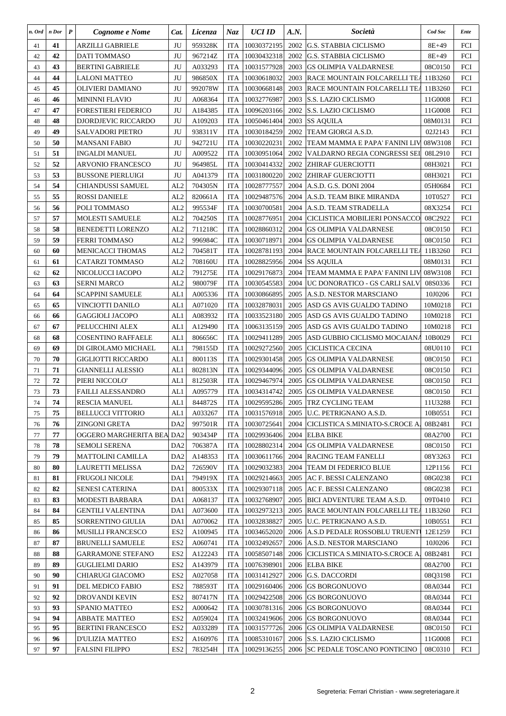| n. Ord   | n Dor    | $\boldsymbol{P}$ | Cognome e Nome                              | Cat.                               | Licenza            | Naz                      | <b>UCI ID</b>              | A.N. | Società                                                  | Cod Soc            | Ente       |
|----------|----------|------------------|---------------------------------------------|------------------------------------|--------------------|--------------------------|----------------------------|------|----------------------------------------------------------|--------------------|------------|
| 41       | 41       |                  | ARZILLI GABRIELE                            | JU                                 | 959328K            | <b>ITA</b>               | 10030372195                | 2002 | <b>G.S. STABBIA CICLISMO</b>                             | $8E + 49$          | FCI        |
| 42       | 42       |                  | DATI TOMMASO                                | JU                                 | 967214Z            | <b>ITA</b>               | 10030432318                | 2002 | <b>G.S. STABBIA CICLISMO</b>                             | $8E + 49$          | FCI        |
| 43       | 43       |                  | <b>BERTINI GABRIELE</b>                     | JU                                 | A033293            | <b>ITA</b>               | 10031577928                | 2003 | <b>GS OLIMPIA VALDARNESE</b>                             | 08C0150            | FCI        |
| 44       | 44       |                  | LALONI MATTEO                               | JU                                 | 986850X            | <b>ITA</b>               | 10030618032                | 2003 | <b>RACE MOUNTAIN FOLCARELLI TEA</b>                      | 11B3260            | <b>FCI</b> |
| 45       | 45       |                  | OLIVIERI DAMIANO                            | JU                                 | 992078W            | <b>ITA</b>               | 10030668148                | 2003 | RACE MOUNTAIN FOLCARELLI TEA                             | 11B3260            | <b>FCI</b> |
| 46       | 46       |                  | <b>MININNI FLAVIO</b>                       | JU                                 | A068364            | <b>ITA</b>               | 10032776987                | 2003 | S.S. LAZIO CICLISMO                                      | 11G0008            | FCI        |
| 47       | 47       |                  | <b>FORESTIERI FEDERICO</b>                  | JU                                 | A184385            | <b>ITA</b>               | 10096203166                | 2002 | S.S. LAZIO CICLISMO                                      | 11G0008            | <b>FCI</b> |
| 48       | 48       |                  | DJORDJEVIC RICCARDO                         | JU                                 | A109203            | <b>ITA</b>               | 10050461404                | 2003 | <b>SS AQUILA</b>                                         | 08M0131            | <b>FCI</b> |
| 49       | 49       |                  | SALVADORI PIETRO                            | JU                                 | 938311V            | <b>ITA</b>               | 10030184259                | 2002 | TEAM GIORGI A.S.D.                                       | 02J2143            | <b>FCI</b> |
| 50       | 50       |                  | <b>MANSANI FABIO</b>                        | JU                                 | 942721U            | <b>ITA</b>               | 10030220231                | 2002 | TEAM MAMMA E PAPA' FANINI LIV                            | 08W3108            | FCI        |
| 51       | 51       |                  | INGALDI MANUEL                              | JU                                 | A009522            | <b>ITA</b>               | 10030951064                | 2002 | VALDARNO REGIA CONGRESSI SEI                             | 08L2910            | <b>FCI</b> |
| 52       | 52       |                  | ARVONIO FRANCESCO                           | JU                                 | 964985L            | <b>ITA</b>               | 10030414332                | 2002 | ZHIRAF GUERCIOTTI                                        | 08H3021            | FCI        |
| 53       | 53       |                  | <b>BUSSONE PIERLUIGI</b>                    | JU                                 | A041379            | <b>ITA</b>               | 10031800220                | 2002 | ZHIRAF GUERCIOTTI                                        | 08H3021            | FCI        |
| 54       | 54       |                  | <b>CHIANDUSSI SAMUEL</b>                    | AL <sub>2</sub>                    | 704305N            | <b>ITA</b>               | 10028777557                | 2004 | A.S.D. G.S. DONI 2004                                    | 05H0684            | <b>FCI</b> |
| 55       | 55       |                  | <b>ROSSI DANIELE</b>                        | AL <sub>2</sub>                    | 820661A            | <b>ITA</b>               | 10029487576                | 2004 | A.S.D. TEAM BIKE MIRANDA                                 | 10T0527            | <b>FCI</b> |
| 56       | 56       |                  | POLI TOMMASO                                | AL <sub>2</sub>                    | 995534F            | <b>ITA</b>               | 10030700581                | 2004 | A.S.D. TEAM STRADELLA                                    | 08X3254            | <b>FCI</b> |
| 57       | 57       |                  | <b>MOLESTI SAMUELE</b>                      | AL <sub>2</sub>                    | 704250S            | <b>ITA</b>               | 10028776951                | 2004 | CICLISTICA MOBILIERI PONSACCO                            | 08C2922            | <b>FCI</b> |
| 58       | 58       |                  | <b>BENEDETTI LORENZO</b>                    | AL2                                | 711218C            | <b>ITA</b>               | 10028860312                | 2004 | GS OLIMPIA VALDARNESE                                    | 08C0150            | FCI        |
| 59       | 59       |                  | <b>FERRI TOMMASO</b>                        | AL <sub>2</sub>                    | 996984C            | <b>ITA</b>               | 10030718971                | 2004 | <b>GS OLIMPIA VALDARNESE</b>                             | 08C0150            | FCI        |
| 60       | 60       |                  | <b>MENICACCI THOMAS</b>                     | AL <sub>2</sub>                    | 704581T            | <b>ITA</b>               | 10028781193                | 2004 | RACE MOUNTAIN FOLCARELLI TEA                             | 11B3260            | FCI        |
| 61       | 61       |                  | CATARZI TOMMASO                             | AL <sub>2</sub>                    | 708160U            | <b>ITA</b>               | 10028825956                | 2004 | <b>SS AQUILA</b>                                         | 08M0131            | <b>FCI</b> |
| 62       | 62       |                  | NICOLUCCI IACOPO                            | AL2                                | 791275E            | <b>ITA</b>               | 10029176873                | 2004 | TEAM MAMMA E PAPA' FANINI LIV                            | 08W3108            | FCI        |
| 63       | 63       |                  | <b>SERNI MARCO</b>                          | AL2                                | 980079F            | <b>ITA</b>               | 10030545583                | 2004 | UC DONORATICO - GS CARLI SALV                            | 08S0336            | FCI        |
| 64       | 64       |                  | <b>SCAPPINI SAMUELE</b>                     | AL1                                | A005336            | <b>ITA</b>               | 10030866895                | 2005 | <b>A.S.D. NESTOR MARSCIANO</b>                           | 10J0206            | <b>FCI</b> |
| 65       | 65       |                  | VINCIOTTI DANILO                            | AL1                                | A071020            | <b>ITA</b>               | 10032878031                | 2005 | ASD GS AVIS GUALDO TADINO                                | 10M0218            | <b>FCI</b> |
| 66       | 66       |                  | GAGGIOLI JACOPO                             | AL1                                | A083932            | <b>ITA</b>               | 10033523180                | 2005 | ASD GS AVIS GUALDO TADINO                                | 10M0218            | <b>FCI</b> |
| 67       | 67       |                  | PELUCCHINI ALEX                             | AL1                                | A129490            | <b>ITA</b>               | 10063135159                | 2005 | ASD GS AVIS GUALDO TADINO                                | 10M0218            | <b>FCI</b> |
| 68       | 68       |                  | <b>COSENTINO RAFFAELE</b>                   | AL1                                | 806656C            | <b>ITA</b>               | 10029411289                | 2005 | ASD GUBBIO CICLISMO MOCAIANA                             | 10B0029            | <b>FCI</b> |
| 69       | 69       |                  | DI GIROLAMO MICHAEL                         | AL1                                | 798155D            | <b>ITA</b>               | 10029272560                | 2005 | CICLISTICA CECINA                                        | 08U0110            | <b>FCI</b> |
| 70       | 70       |                  | GIGLIOTTI RICCARDO                          | AL1                                | 800113S            | <b>ITA</b>               | 10029301458                | 2005 | <b>GS OLIMPIA VALDARNESE</b>                             | 08C0150            | <b>FCI</b> |
| 71       | 71       |                  | <b>GIANNELLI ALESSIO</b>                    | AL1                                | 802813N            | <b>ITA</b>               | 10029344096                | 2005 | <b>GS OLIMPIA VALDARNESE</b>                             | 08C0150            | FCI        |
| 72       | 72       |                  | PIERI NICCOLO'                              | AL1                                | 812503R            | <b>ITA</b>               | 10029467974                | 2005 | <b>GS OLIMPIA VALDARNESE</b>                             | 08C0150            | FCI        |
| 73       | 73       |                  | FAILLI ALESSANDRO                           | AL1                                | A095779            | <b>ITA</b>               | 10034314742                | 2005 | <b>GS OLIMPIA VALDARNESE</b>                             | 08C0150            | FCI        |
| 74       | 74       |                  | RESCIA MANUEL                               | AL1                                | 844872S            | <b>ITA</b>               | 10029595286                |      | 2005 TRZ CYCLING TEAM                                    | 11U3288            | <b>FCI</b> |
| 75       | 75       |                  | <b>BELLUCCI VITTORIO</b>                    | AL1                                | A033267            | ITA                      | 10031576918                | 2005 | U.C. PETRIGNANO A.S.D.                                   | 10B0551            | FCI        |
| 76       | 76       |                  | ZINGONI GRETA                               | DA <sub>2</sub>                    | 997501R            | <b>ITA</b>               | 10030725641                | 2004 | CICLISTICA S.MINIATO-S.CROCE A.                          | 08B2481            | FCI        |
|          | 77       |                  | OGGERO MARGHERITA BEA DA2                   |                                    |                    |                          | 10029936406                | 2004 |                                                          |                    |            |
| 77       | 78       |                  | <b>SEMOLI SERENA</b>                        |                                    | 903434P<br>706387A | <b>ITA</b>               | 10028802314                | 2004 | <b>ELBA BIKE</b><br><b>GS OLIMPIA VALDARNESE</b>         | 08A2700<br>08C0150 | FCI        |
| 78       | 79       |                  | <b>MATTOLINI CAMILLA</b>                    | DA <sub>2</sub>                    |                    | <b>ITA</b><br><b>ITA</b> | 10030611766                | 2004 | <b>RACING TEAM FANELLI</b>                               | 08Y3263            | FCI        |
| 79<br>80 | 80       |                  | LAURETTI MELISSA                            | DA <sub>2</sub><br>DA <sub>2</sub> | A148353<br>726590V | <b>ITA</b>               | 10029032383                | 2004 | TEAM DI FEDERICO BLUE                                    | 12P1156            | FCI<br>FCI |
|          |          |                  |                                             |                                    |                    |                          |                            |      |                                                          |                    |            |
| 81       | 81<br>82 |                  | FRUGOLI NICOLE                              | DA1                                | 794919X            | <b>ITA</b>               | 10029214663                | 2005 | <b>AC F. BESSI CALENZANO</b>                             | 08G0238            | FCI        |
| 82       | 83       |                  | <b>SENESI CATERINA</b>                      | DA1                                | 800533X            | <b>ITA</b>               | 10029307118<br>10032768907 | 2005 | AC F. BESSI CALENZANO<br>2005 BICI ADVENTURE TEAM A.S.D. | 08G0238            | FCI        |
| 83       |          |                  | MODESTI BARBARA                             | DA1                                | A068137            | <b>ITA</b>               |                            |      |                                                          | 09T0410            | FCI        |
| 84       | 84       |                  | <b>GENTILI VALENTINA</b>                    | DA1                                | A073600            | <b>ITA</b>               | 10032973213                |      | 2005 RACE MOUNTAIN FOLCARELLI TEA                        | 11B3260            | FCI        |
| 85       | 85       |                  | SORRENTINO GIULIA                           | DA1                                | A070062            | <b>ITA</b>               | 10032838827                |      | 2005   U.C. PETRIGNANO A.S.D.                            | 10B0551            | FCI        |
| 86       | 86       |                  | <b>MUSILLI FRANCESCO</b>                    | ES <sub>2</sub>                    | A100945            | <b>ITA</b>               | 10034652020                |      | 2006   A.S.D PEDALE ROSSOBLU TRUENT                      | 12E1259            | FCI        |
| 87       | 87       |                  | <b>BRUNELLI SAMUELE</b>                     | ES <sub>2</sub>                    | A060741            | <b>ITA</b>               | 10032492657                |      | 2006 A.S.D. NESTOR MARSCIANO                             | 10J0206            | FCI        |
| 88       | 88       |                  | <b>GARRAMONE STEFANO</b>                    | ES <sub>2</sub>                    | A122243            | <b>ITA</b>               | 10058507148                | 2006 | CICLISTICA S.MINIATO-S.CROCE A.                          | 08B2481            | FCI        |
| 89       | 89       |                  | <b>GUGLIELMI DARIO</b>                      | ES <sub>2</sub>                    | A143979            | <b>ITA</b>               | 10076398901                |      | 2006 ELBA BIKE                                           | 08A2700            | FCI        |
| 90       | 90       |                  | CHIARUGI GIACOMO                            | ES <sub>2</sub>                    | A027058            | <b>ITA</b>               | 10031412927                |      | 2006 G.S. DACCORDI                                       | 08Q3198            | FCI        |
| 91       | 91       |                  | DEL MEDICO FABIO                            | ES <sub>2</sub>                    | 788593T            | <b>ITA</b>               | 10029160406                |      | 2006 GS BORGONUOVO                                       | 08A0344            | FCI        |
| 92       | 92       |                  | DROVANDI KEVIN                              | ES <sub>2</sub>                    | 807417N            | <b>ITA</b>               | 10029422508                | 2006 | <b>GS BORGONUOVO</b>                                     | 08A0344            | FCI        |
| 93       | 93       |                  | SPANIO MATTEO                               | ES <sub>2</sub>                    | A000642            | <b>ITA</b>               | 10030781316                | 2006 | <b>GS BORGONUOVO</b>                                     | 08A0344            | FCI        |
| 94<br>95 | 94<br>95 |                  | ABBATE MATTEO                               | ES <sub>2</sub><br>ES <sub>2</sub> | A059024<br>A033289 | <b>ITA</b>               | 10032419606<br>10031577726 | 2006 | 2006 GS BORGONUOVO<br>GS OLIMPIA VALDARNESE              | 08A0344<br>08C0150 | FCI        |
|          | 96       |                  | <b>BERTINI FRANCESCO</b><br>D'ULIZIA MATTEO | ES <sub>2</sub>                    | A160976            | ITA<br><b>ITA</b>        | 10085310167                |      | 2006 S.S. LAZIO CICLISMO                                 | 11G0008            | FCI<br>FCI |
| 96       | 97       |                  | <b>FALSINI FILIPPO</b>                      | ES <sub>2</sub>                    | 783254H            |                          | 10029136255                |      |                                                          | 08C0310            |            |
| 97       |          |                  |                                             |                                    |                    | <b>ITA</b>               |                            |      | 2006 ISC PEDALE TOSCANO PONTICINO                        |                    | FCI        |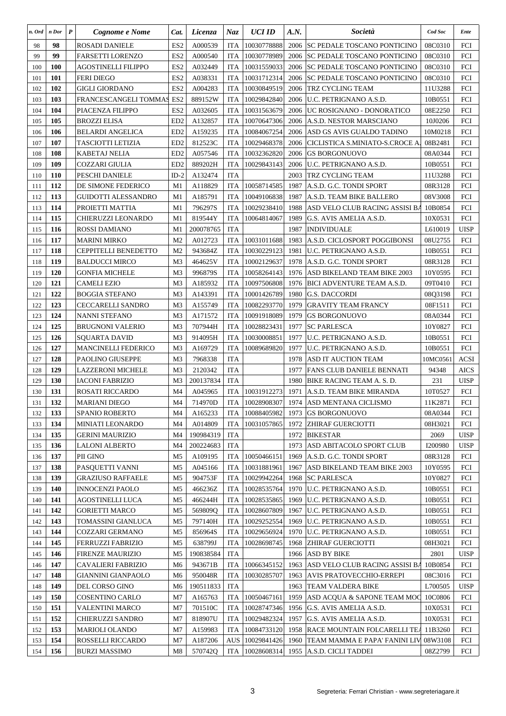| n. Ord  | n Dor      | $\boldsymbol{P}$ | Cognome e Nome             | Cat.            | Licenza   | Naz        | <b>UCI ID</b> | A.N. | Società                               | Cod Soc  | Ente        |
|---------|------------|------------------|----------------------------|-----------------|-----------|------------|---------------|------|---------------------------------------|----------|-------------|
| 98      | 98         |                  | <b>ROSADI DANIELE</b>      | ES <sub>2</sub> | A000539   | <b>ITA</b> | 10030778888   | 2006 | SC PEDALE TOSCANO PONTICINO           | 08C0310  | FCI         |
| 99      | 99         |                  | FARSETTI LORENZO           | ES <sub>2</sub> | A000540   | <b>ITA</b> | 10030778989   | 2006 | SC PEDALE TOSCANO PONTICINO           | 08C0310  | FCI         |
| 100     | <b>100</b> |                  | AGOSTINELLI FILIPPO        | ES <sub>2</sub> | A032449   | <b>ITA</b> | 10031559033   | 2006 | SC PEDALE TOSCANO PONTICINO           | 08C0310  | FCI         |
| 101     | 101        |                  | <b>FERI DIEGO</b>          | ES <sub>2</sub> | A038331   | <b>ITA</b> | 10031712314   | 2006 | <b>SC PEDALE TOSCANO PONTICINO</b>    | 08C0310  | <b>FCI</b>  |
| 102     | 102        |                  | <b>GIGLI GIORDANO</b>      | ES <sub>2</sub> | A004283   | <b>ITA</b> | 10030849519   | 2006 | TRZ CYCLING TEAM                      | 11U3288  | <b>FCI</b>  |
| 103     | 103        |                  | FRANCESCANGELI TOMMAS      | ES <sub>2</sub> | 889152W   | <b>ITA</b> | 10029842840   | 2006 | U.C. PETRIGNANO A.S.D.                | 10B0551  | FCI         |
| 104     | 104        |                  | PIACENZA FILIPPO           | ES <sub>2</sub> | A032605   | <b>ITA</b> | 10031563679   | 2006 | UC ROSIGNANO - DONORATICO             | 08E2250  | <b>FCI</b>  |
| 105     | 105        |                  | BROZZI ELISA               | ED <sub>2</sub> | A132857   | <b>ITA</b> | 10070647306   | 2006 | A.S.D. NESTOR MARSCIANO               | 10J0206  | <b>FCI</b>  |
| 106     | 106        |                  | <b>BELARDI ANGELICA</b>    | ED <sub>2</sub> | A159235   | <b>ITA</b> | 10084067254   | 2006 | ASD GS AVIS GUALDO TADINO             | 10M0218  | <b>FCI</b>  |
| 107     | 107        |                  | TASCIOTTI LETIZIA          | ED <sub>2</sub> | 812523C   | <b>ITA</b> | 10029468378   | 2006 | CICLISTICA S.MINIATO-S.CROCE A.       | 08B2481  | FCI         |
| 108     | 108        |                  | KABETAJ NELIA              | ED <sub>2</sub> | A057546   | <b>ITA</b> | 10032362820   | 2006 | <b>GS BORGONUOVO</b>                  | 08A0344  | FCI         |
| 109     | 109        |                  | COZZARI GIULIA             | ED <sub>2</sub> | 889202H   | <b>ITA</b> | 10029843143   | 2006 | U.C. PETRIGNANO A.S.D.                | 10B0551  | FCI         |
| 110     | <b>110</b> |                  | PESCHI DANIELE             | $ID-2$          | A132474   | <b>ITA</b> |               | 2003 | TRZ CYCLING TEAM                      | 11U3288  | FCI         |
| 111     | 112        |                  | DE SIMONE FEDERICO         | M1              | A118829   | <b>ITA</b> | 10058714585   | 1987 | A.S.D. G.C. TONDI SPORT               | 08R3128  | <b>FCI</b>  |
| 112     | 113        |                  | <b>GUIDOTTI ALESSANDRO</b> | M1              | A185791   | <b>ITA</b> | 10049106838   | 1987 | A.S.D. TEAM BIKE BALLERO              | 08V3008  | FCI         |
| 113     | 114        |                  | PROJETTI MATTIA            | M1              | 796297S   | <b>ITA</b> | 10029238410   | 1988 | ASD VELO CLUB RACING ASSISI BA        | 10B0854  | <b>FCI</b>  |
| 114     | 115        |                  | CHIERUZZI LEONARDO         | M1              | 819544Y   | <b>ITA</b> | 10064814067   | 1989 | G.S. AVIS AMELIA A.S.D.               | 10X0531  | FCI         |
| 115     | 116        |                  | ROSSI DAMIANO              | M1              | 200078765 | <b>ITA</b> |               | 1987 | <b>INDIVIDUALE</b>                    | L610019  | <b>UISP</b> |
| 116     | 117        |                  | <b>MARINI MIRKO</b>        | M <sub>2</sub>  | A012723   | <b>ITA</b> | 10031011688   | 1983 | A.S.D. CICLOSPORT POGGIBONSI          | 08U2755  | <b>FCI</b>  |
| 117     | 118        |                  | CEPPITELLI BENEDETTO       | M <sub>2</sub>  | 943684Z   | <b>ITA</b> | 10030229123   | 1981 | U.C. PETRIGNANO A.S.D.                | 10B0551  | FCI         |
| 118     | 119        |                  | <b>BALDUCCI MIRCO</b>      | M <sub>3</sub>  | 464625V   | <b>ITA</b> | 10002129637   | 1978 | A.S.D. G.C. TONDI SPORT               | 08R3128  | <b>FCI</b>  |
| 119     | <b>120</b> |                  | <b>GONFIA MICHELE</b>      | M <sub>3</sub>  | 996879S   | <b>ITA</b> | 10058264143   |      | 1976 ASD BIKELAND TEAM BIKE 2003      | 10Y0595  | FCI         |
| 120     | 121        |                  | CAMELI EZIO                | M <sub>3</sub>  | A185932   | <b>ITA</b> | 10097506808   |      | 1976 BICI ADVENTURE TEAM A.S.D.       | 09T0410  | FCI         |
| 121     | 122        |                  | <b>BOGGIA STEFANO</b>      | M <sub>3</sub>  | A143391   | <b>ITA</b> | 10001426789   | 1980 | <b>G.S. DACCORDI</b>                  | 08Q3198  | <b>FCI</b>  |
| 122     | 123        |                  | <b>CECCARELLI SANDRO</b>   | M <sub>3</sub>  | A155749   | <b>ITA</b> | 10082293770   | 1979 | <b>GRAVITY TEAM FRANCY</b>            | 08F1511  | <b>FCI</b>  |
| 123     | 124        |                  | <b>NANNI STEFANO</b>       | M <sub>3</sub>  | A171572   | <b>ITA</b> | 10091918089   | 1979 | <b>GS BORGONUOVO</b>                  | 08A0344  | <b>FCI</b>  |
| 124     | 125        |                  | BRUGNONI VALERIO           | M <sub>3</sub>  | 707944H   | <b>ITA</b> | 10028823431   | 1977 | <b>SC PARLESCA</b>                    | 10Y0827  | <b>FCI</b>  |
| 125     | 126        |                  | SQUARTA DAVID              | M <sub>3</sub>  | 914095H   | <b>ITA</b> | 10030008851   | 1977 | U.C. PETRIGNANO A.S.D.                | 10B0551  | FCI         |
| 126     | 127        |                  | <b>MANCINELLI FEDERICO</b> | M3              | A169729   | <b>ITA</b> | 10089689820   | 1977 | U.C. PETRIGNANO A.S.D.                | 10B0551  | <b>FCI</b>  |
| 127     | 128        |                  | PAOLINO GIUSEPPE           | M <sub>3</sub>  | 7968338   | <b>ITA</b> |               | 1978 | ASD IT AUCTION TEAM                   | 10MC0561 | ACSI        |
| 128     | 129        |                  | LAZZERONI MICHELE          | M <sub>3</sub>  | 2120342   | <b>ITA</b> |               | 1977 | FANS CLUB DANIELE BENNATI             | 94348    | <b>AICS</b> |
| 129     | 130        |                  | IACONI FABRIZIO            | M <sub>3</sub>  | 200137834 | <b>ITA</b> |               | 1980 | BIKE RACING TEAM A. S. D.             | 231      | <b>UISP</b> |
| 130     | 131        |                  | ROSATI RICCARDO            | M <sub>4</sub>  | A045965   | <b>ITA</b> | 10031912273   | 1971 | A.S.D. TEAM BIKE MIRANDA              | 10T0527  | FCI         |
| 131     | 132        |                  | <b>MARIANI DIEGO</b>       | M4              | 714970D   | <b>ITA</b> | 10028908307   |      | 1974   ASD MENTANA CICLISMO           | 11K2871  | <b>FCI</b>  |
| 132     | 133        |                  | SPANIO ROBERTO             | M4              | A165233   | <b>ITA</b> | 10088405982   |      | 1973 GS BORGONUOVO                    | 08A0344  | FCI         |
| 133     | 134        |                  | MINIATI LEONARDO           | M4              | A014809   | <b>ITA</b> | 10031057865   | 1972 | <b>ZHIRAF GUERCIOTTI</b>              | 08H3021  | FCI         |
| 134     | 135        |                  | <b>GERINI MAURIZIO</b>     | M4              | 190984319 | <b>ITA</b> |               | 1972 | <b>BIKESTAR</b>                       | 2069     | <b>UISP</b> |
| 135     | 136        |                  | <b>LALONI ALBERTO</b>      | M4              | 200224683 | <b>ITA</b> |               | 1973 | ASD ABITACOLO SPORT CLUB              | I200980  | <b>UISP</b> |
| 136     | 137        |                  | PII GINO                   | M <sub>5</sub>  | A109195   | <b>ITA</b> | 10050466151   | 1969 | A.S.D. G.C. TONDI SPORT               | 08R3128  | FCI         |
| 137     | 138        |                  | PASQUETTI VANNI            | M <sub>5</sub>  | A045166   | <b>ITA</b> | 10031881961   | 1967 | ASD BIKELAND TEAM BIKE 2003           | 10Y0595  | FCI         |
| 138     | 139        |                  | <b>GRAZIUSO RAFFAELE</b>   | M <sub>5</sub>  | 904753F   | <b>ITA</b> | 10029942264   | 1968 | <b>SC PARLESCA</b>                    | 10Y0827  | FCI         |
| 139     | 140        |                  | <b>INNOCENZI PAOLO</b>     | M <sub>5</sub>  | 466236Z   | <b>ITA</b> | 10028535764   | 1970 | U.C. PETRIGNANO A.S.D.                | 10B0551  | FCI         |
| 140     | 141        |                  | AGOSTINELLI LUCA           | M <sub>5</sub>  | 466244H   | <b>ITA</b> | 10028535865   | 1969 | U.C. PETRIGNANO A.S.D.                | 10B0551  | FCI         |
| 141     | 142        |                  | <b>GORIETTI MARCO</b>      | M <sub>5</sub>  | 569809O   | <b>ITA</b> | 10028607809   | 1967 | U.C. PETRIGNANO A.S.D.                | 10B0551  | FCI         |
| 142     | 143        |                  | TOMASSINI GIANLUCA         | M <sub>5</sub>  | 797140H   | <b>ITA</b> | 10029252554   | 1969 | U.C. PETRIGNANO A.S.D.                | 10B0551  | FCI         |
| $143\,$ | 144        |                  | COZZARI GERMANO            | M5              | 856964S   | <b>ITA</b> | 10029656924   | 1970 | U.C. PETRIGNANO A.S.D.                | 10B0551  | FCI         |
| 144     | 145        |                  | FERRUZZI FABRIZIO          | M <sub>5</sub>  | 638799J   | <b>ITA</b> | 10028698745   | 1968 | ZHIRAF GUERCIOTTI                     | 08H3021  | FCI         |
| 145     | 146        |                  | <b>FIRENZE MAURIZIO</b>    | M <sub>5</sub>  | 190838584 | <b>ITA</b> |               | 1966 | <b>ASD BY BIKE</b>                    | 2801     | <b>UISP</b> |
| 146     | 147        |                  | CAVALIERI FABRIZIO         | M6              | 943671B   | <b>ITA</b> | 10066345152   |      | 1963   ASD VELO CLUB RACING ASSISI BA | 10B0854  | FCI         |
| 147     | 148        |                  | GIANNINI GIANPAOLO         | M6              | 950048R   | <b>ITA</b> | 10030285707   | 1963 | AVIS PRATOVECCHIO-ERREPI              | 08C3016  | FCI         |
| 148     | 149        |                  | DEL CORSO GINO             | M6              | 190511833 | <b>ITA</b> |               | 1963 | TEAM VALDERA BIKE                     | L700505  | <b>UISP</b> |
| 149     | 150        |                  | COSENTINO CARLO            | M7              | A165763   | <b>ITA</b> | 10050467161   | 1959 | ASD ACQUA & SAPONE TEAM MOO           | 10C0806  | FCI         |
| 150     | 151        |                  | <b>VALENTINI MARCO</b>     | M7              | 701510C   | <b>ITA</b> | 10028747346   |      | 1956 G.S. AVIS AMELIA A.S.D.          | 10X0531  | FCI         |
| 151     | 152        |                  | CHIERUZZI SANDRO           | M7              | 818907U   | <b>ITA</b> | 10029482324   | 1957 | G.S. AVIS AMELIA A.S.D.               | 10X0531  | FCI         |
| 152     | 153        |                  | MARIOLI OLANDO             | M7              | A159983   | <b>ITA</b> | 10084733120   |      | 1958 RACE MOUNTAIN FOLCARELLI TEA     | 11B3260  | FCI         |
| 153     | 154        |                  | ROSSELLI RICCARDO          | M7              | A187206   | <b>AUS</b> | 10029841426   | 1960 | TEAM MAMMA E PAPA' FANINI LIV         | 08W3108  | FCI         |
| 154     | 156        |                  | <b>BURZI MASSIMO</b>       | M8              | 570742Q   | <b>ITA</b> | 10028608314   |      | 1955   A.S.D. CICLI TADDEI            | 08Z2799  | FCI         |